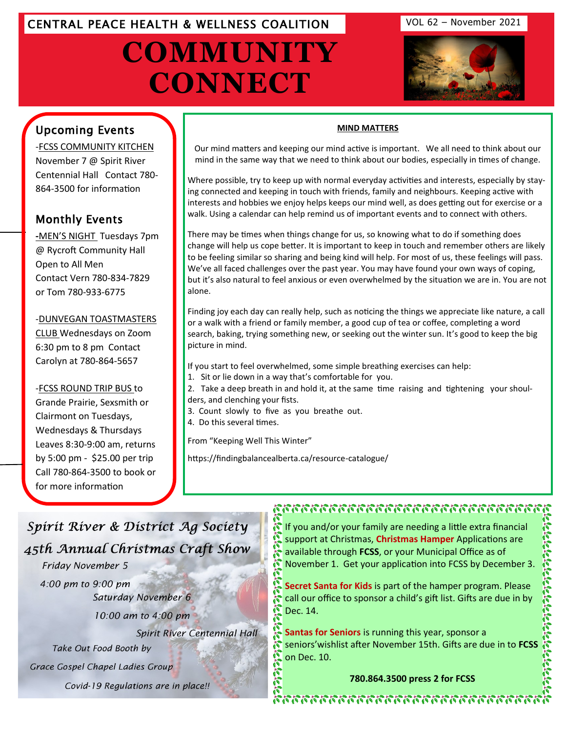## CENTRAL PEACE HEALTH & WELLNESS COALITION VOL 62 – November 2021

# **COMMUNITY CONNECT**



## Upcoming Events

-FCSS COMMUNITY KITCHEN November 7 @ Spirit River Centennial Hall Contact 780- 864-3500 for information

## Monthly Events

**-**MEN'S NIGHT Tuesdays 7pm @ Rycroft Community Hall Open to All Men Contact Vern 780-834-7829 or Tom 780-933-6775

#### -[DUNVEGAN TOASTMASTERS](http://www.eaglesham.biz/)

CLUB Wednesdays on Zoom 6:30 pm to 8 pm Contact Carolyn at 780-864-5657

### -FCSS ROUND TRIP BUS to

Grande Prairie, Sexsmith or Clairmont on Tuesdays, Wednesdays & Thursdays Leaves 8:30-9:00 am, returns by 5:00 pm - \$25.00 per trip Call 780-864-3500 to book or for more information

#### **MIND MATTERS**

Our mind matters and keeping our mind active is important. We all need to think about our mind in the same way that we need to think about our bodies, especially in times of change.

Where possible, try to keep up with normal everyday activities and interests, especially by staying connected and keeping in touch with friends, family and neighbours. Keeping active with interests and hobbies we enjoy helps keeps our mind well, as does getting out for exercise or a walk. Using a calendar can help remind us of important events and to connect with others.

There may be times when things change for us, so knowing what to do if something does change will help us cope better. It is important to keep in touch and remember others are likely to be feeling similar so sharing and being kind will help. For most of us, these feelings will pass. We've all faced challenges over the past year. You may have found your own ways of coping, but it's also natural to feel anxious or even overwhelmed by the situation we are in. You are not alone.

Finding joy each day can really help, such as noticing the things we appreciate like nature, a call or a walk with a friend or family member, a good cup of tea or coffee, completing a word search, baking, trying something new, or seeking out the winter sun. It's good to keep the big picture in mind.

If you start to feel overwhelmed, some simple breathing exercises can help:

- 1. Sit or lie down in a way that's comfortable for you.
- 2. Take a deep breath in and hold it, at the same time raising and tightening your shoulders, and clenching your fists.
- 3. Count slowly to five as you breathe out.
- 4. Do this several times.

From "Keeping Well This Winter"

https://findingbalancealberta.ca/resource-catalogue/

## Spirit River & District Ag Society 45th Annual Christmas Craft Show Friday November 5

4:00 pm to 9:00 pm Saturday November 6

10:00 am to 4:00 pm

Spirit River Centennial Hall

Take Out Food Booth by

Grace Gospel Chapel Ladies Group

Covid-19 Regulations are in place!!

## การการการการการการการการการการการการ

If you and/or your family are needing a little extra financial support at Christmas, **Christmas Hamper** Applications are available through **FCSS**, or your Municipal Office as of November 1. Get your application into FCSS by December 3.

**Secret Santa for Kids** is part of the hamper program. Please call our office to sponsor a child's gift list. Gifts are due in by Dec. 14.

**Santas for Seniors** is running this year, sponsor a seniors'wishlist after November 15th. Gifts are due in to **FCSS**  on Dec. 10.

**780.864.3500 press 2 for FCSS**